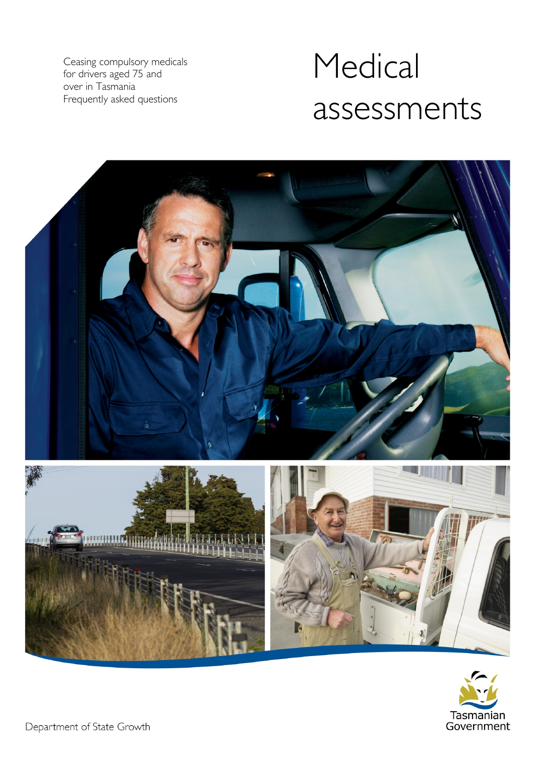Ceasing compulsory medicals for drivers aged 75 and over in Tasmania Frequently asked questions

# Medical assessments



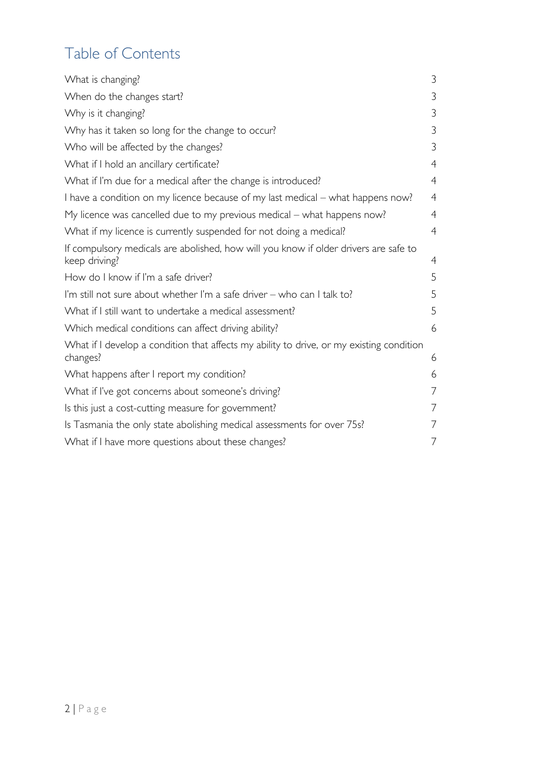# Table of Contents

| What is changing?                                                                                     | 3              |
|-------------------------------------------------------------------------------------------------------|----------------|
| When do the changes start?                                                                            | 3              |
| Why is it changing?                                                                                   | 3              |
| Why has it taken so long for the change to occur?                                                     | 3              |
| Who will be affected by the changes?                                                                  | 3              |
| What if I hold an ancillary certificate?                                                              | $\overline{4}$ |
| What if I'm due for a medical after the change is introduced?                                         | $\overline{4}$ |
| I have a condition on my licence because of my last medical – what happens now?                       | $\overline{4}$ |
| My licence was cancelled due to my previous medical – what happens now?                               | $\overline{4}$ |
| What if my licence is currently suspended for not doing a medical?                                    | $\overline{4}$ |
| If compulsory medicals are abolished, how will you know if older drivers are safe to<br>keep driving? | 4              |
| How do I know if I'm a safe driver?                                                                   | 5              |
| I'm still not sure about whether I'm a safe driver - who can I talk to?                               | 5              |
| What if I still want to undertake a medical assessment?                                               | 5              |
| Which medical conditions can affect driving ability?                                                  | 6              |
| What if I develop a condition that affects my ability to drive, or my existing condition<br>changes?  | 6              |
| What happens after I report my condition?                                                             | 6              |
| What if I've got concerns about someone's driving?                                                    | 7              |
| Is this just a cost-cutting measure for government?                                                   | 7              |
| Is Tasmania the only state abolishing medical assessments for over 75s?                               | 7              |
| What if I have more questions about these changes?                                                    | 7              |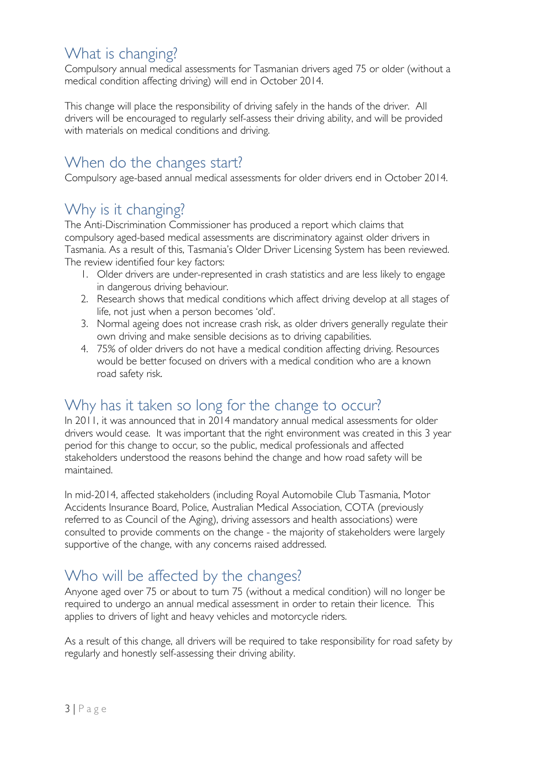### <span id="page-2-0"></span>What is changing?

Compulsory annual medical assessments for Tasmanian drivers aged 75 or older (without a medical condition affecting driving) will end in October 2014.

This change will place the responsibility of driving safely in the hands of the driver. All drivers will be encouraged to regularly self-assess their driving ability, and will be provided with materials on medical conditions and driving.

#### <span id="page-2-1"></span>When do the changes start?

<span id="page-2-2"></span>Compulsory age-based annual medical assessments for older drivers end in October 2014.

## Why is it changing?

The Anti-Discrimination Commissioner has produced a report which claims that compulsory aged-based medical assessments are discriminatory against older drivers in Tasmania. As a result of this, Tasmania's Older Driver Licensing System has been reviewed. The review identified four key factors:

- 1. Older drivers are under-represented in crash statistics and are less likely to engage in dangerous driving behaviour.
- 2. Research shows that medical conditions which affect driving develop at all stages of life, not just when a person becomes 'old'.
- 3. Normal ageing does not increase crash risk, as older drivers generally regulate their own driving and make sensible decisions as to driving capabilities.
- 4. 75% of older drivers do not have a medical condition affecting driving. Resources would be better focused on drivers with a medical condition who are a known road safety risk.

## <span id="page-2-3"></span>Why has it taken so long for the change to occur?

In 2011, it was announced that in 2014 mandatory annual medical assessments for older drivers would cease. It was important that the right environment was created in this 3 year period for this change to occur, so the public, medical professionals and affected stakeholders understood the reasons behind the change and how road safety will be maintained.

In mid-2014, affected stakeholders (including Royal Automobile Club Tasmania, Motor Accidents Insurance Board, Police, Australian Medical Association, COTA (previously referred to as Council of the Aging), driving assessors and health associations) were consulted to provide comments on the change - the majority of stakeholders were largely supportive of the change, with any concerns raised addressed.

## <span id="page-2-4"></span>Who will be affected by the changes?

Anyone aged over 75 or about to turn 75 (without a medical condition) will no longer be required to undergo an annual medical assessment in order to retain their licence. This applies to drivers of light and heavy vehicles and motorcycle riders.

As a result of this change, all drivers will be required to take responsibility for road safety by regularly and honestly self-assessing their driving ability.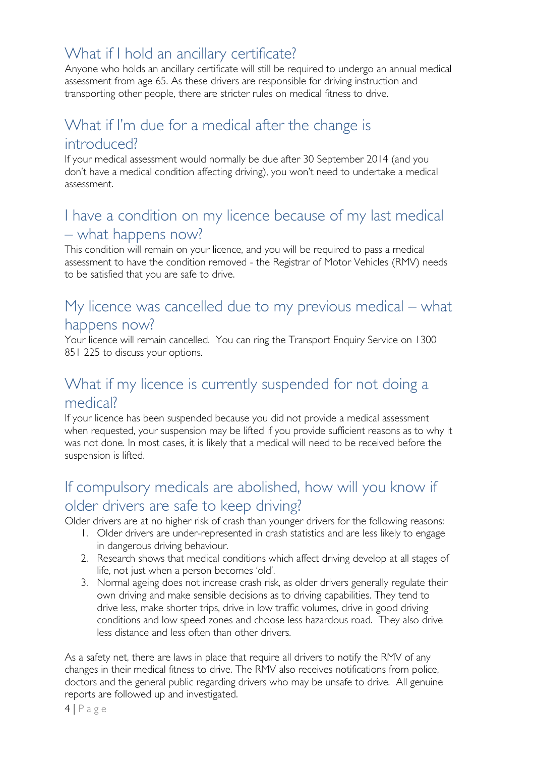## <span id="page-3-0"></span>What if I hold an ancillary certificate?

Anyone who holds an ancillary certificate will still be required to undergo an annual medical assessment from age 65. As these drivers are responsible for driving instruction and transporting other people, there are stricter rules on medical fitness to drive.

#### <span id="page-3-1"></span>What if I'm due for a medical after the change is introduced?

If your medical assessment would normally be due after 30 September 2014 (and you don't have a medical condition affecting driving), you won't need to undertake a medical assessment.

#### <span id="page-3-2"></span>I have a condition on my licence because of my last medical – what happens now?

This condition will remain on your licence, and you will be required to pass a medical assessment to have the condition removed - the Registrar of Motor Vehicles (RMV) needs to be satisfied that you are safe to drive.

#### <span id="page-3-3"></span>My licence was cancelled due to my previous medical – what happens now?

Your licence will remain cancelled. You can ring the Transport Enquiry Service on 1300 851 225 to discuss your options.

#### <span id="page-3-4"></span>What if my licence is currently suspended for not doing a medical?

If your licence has been suspended because you did not provide a medical assessment when requested, your suspension may be lifted if you provide sufficient reasons as to why it was not done. In most cases, it is likely that a medical will need to be received before the suspension is lifted.

## <span id="page-3-5"></span>If compulsory medicals are abolished, how will you know if older drivers are safe to keep driving?

Older drivers are at no higher risk of crash than younger drivers for the following reasons:

- 1. Older drivers are under-represented in crash statistics and are less likely to engage in dangerous driving behaviour.
- 2. Research shows that medical conditions which affect driving develop at all stages of life, not just when a person becomes 'old'.
- 3. Normal ageing does not increase crash risk, as older drivers generally regulate their own driving and make sensible decisions as to driving capabilities. They tend to drive less, make shorter trips, drive in low traffic volumes, drive in good driving conditions and low speed zones and choose less hazardous road. They also drive less distance and less often than other drivers.

As a safety net, there are laws in place that require all drivers to notify the RMV of any changes in their medical fitness to drive. The RMV also receives notifications from police, doctors and the general public regarding drivers who may be unsafe to drive. All genuine reports are followed up and investigated.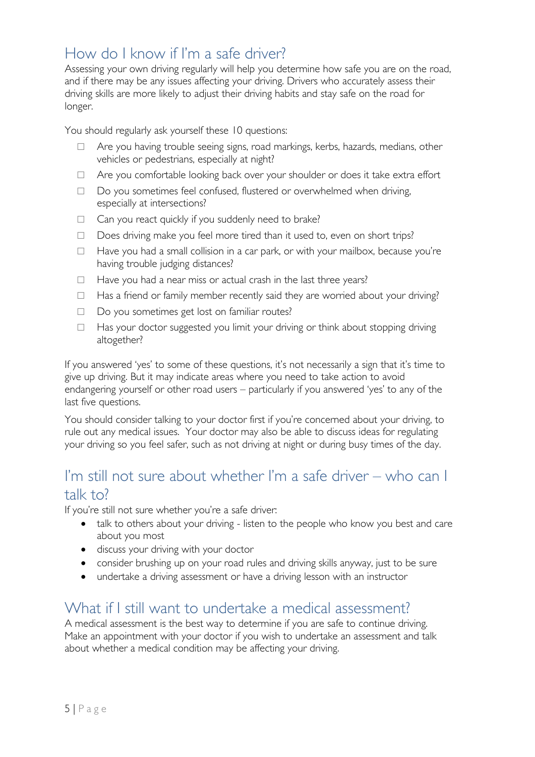#### <span id="page-4-0"></span>How do I know if I'm a safe driver?

Assessing your own driving regularly will help you determine how safe you are on the road, and if there may be any issues affecting your driving. Drivers who accurately assess their driving skills are more likely to adjust their driving habits and stay safe on the road for longer.

You should regularly ask yourself these 10 questions:

- □ Are you having trouble seeing signs, road markings, kerbs, hazards, medians, other vehicles or pedestrians, especially at night?
- □ Are you comfortable looking back over your shoulder or does it take extra effort
- □ Do you sometimes feel confused, flustered or overwhelmed when driving, especially at intersections?
- □ Can you react quickly if you suddenly need to brake?
- □ Does driving make you feel more tired than it used to, even on short trips?
- $\Box$  Have you had a small collision in a car park, or with your mailbox, because you're having trouble judging distances?
- $\Box$  Have you had a near miss or actual crash in the last three years?
- $\Box$  Has a friend or family member recently said they are worried about your driving?
- □ Do you sometimes get lost on familiar routes?
- $\Box$  Has your doctor suggested you limit your driving or think about stopping driving altogether?

If you answered 'yes' to some of these questions, it's not necessarily a sign that it's time to give up driving. But it may indicate areas where you need to take action to avoid endangering yourself or other road users – particularly if you answered 'yes' to any of the last five questions.

You should consider talking to your doctor first if you're concerned about your driving, to rule out any medical issues. Your doctor may also be able to discuss ideas for regulating your driving so you feel safer, such as not driving at night or during busy times of the day.

#### <span id="page-4-1"></span>I'm still not sure about whether I'm a safe driver – who can I talk to?

If you're still not sure whether you're a safe driver:

- talk to others about your driving listen to the people who know you best and care about you most
- discuss your driving with your doctor
- consider brushing up on your road rules and driving skills anyway, just to be sure
- undertake a driving assessment or have a driving lesson with an instructor

#### <span id="page-4-2"></span>What if I still want to undertake a medical assessment?

A medical assessment is the best way to determine if you are safe to continue driving. Make an appointment with your doctor if you wish to undertake an assessment and talk about whether a medical condition may be affecting your driving.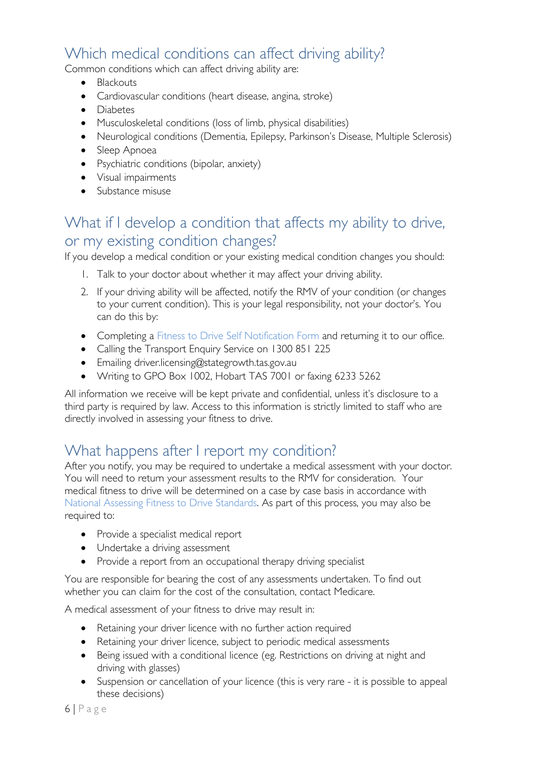## <span id="page-5-0"></span>Which medical conditions can affect driving ability?

Common conditions which can affect driving ability are:

- Blackouts
- Cardiovascular conditions (heart disease, angina, stroke)
- Diabetes
- Musculoskeletal conditions (loss of limb, physical disabilities)
- Neurological conditions (Dementia, Epilepsy, Parkinson's Disease, Multiple Sclerosis)
- Sleep Apnoea
- Psychiatric conditions (bipolar, anxiety)
- Visual impairments
- Substance misuse

#### <span id="page-5-1"></span>What if I develop a condition that affects my ability to drive, or my existing condition changes?

If you develop a medical condition or your existing medical condition changes you should:

- 1. Talk to your doctor about whether it may affect your driving ability.
- 2. If your driving ability will be affected, notify the RMV of your condition (or changes to your current condition). This is your legal responsibility, not your doctor's. You can do this by:
- Completing a [Fitness to Drive Self Notification Form](http://www.transport.tas.gov.au/?a=100913) and returning it to our office.
- Calling the Transport Enquiry Service on 1300 851 225
- Emailing [driver.licensing@stategrowth.tas.gov.au](mailto:driver.licensing@stategrowth.tas.gov.au)
- Writing to GPO Box 1002, Hobart TAS 7001 or faxing 6233 5262

All information we receive will be kept private and confidential, unless it's disclosure to a third party is required by law. Access to this information is strictly limited to staff who are directly involved in assessing your fitness to drive.

#### <span id="page-5-2"></span>What happens after I report my condition?

After you notify, you may be required to undertake a medical assessment with your doctor. You will need to return your assessment results to the RMV for consideration. Your medical fitness to drive will be determined on a case by case basis in accordance with [National Assessing Fitness to Drive Standards.](http://www.austroads.com.au/drivers-vehicles/assessing-fitness-to-drive) As part of this process, you may also be required to:

- Provide a specialist medical report
- Undertake a driving assessment
- Provide a report from an occupational therapy driving specialist

You are responsible for bearing the cost of any assessments undertaken. To find out whether you can claim for the cost of the consultation, contact Medicare.

A medical assessment of your fitness to drive may result in:

- Retaining your driver licence with no further action required
- Retaining your driver licence, subject to periodic medical assessments
- Being issued with a conditional licence (eg. Restrictions on driving at night and driving with glasses)
- Suspension or cancellation of your licence (this is very rare it is possible to appeal these decisions)